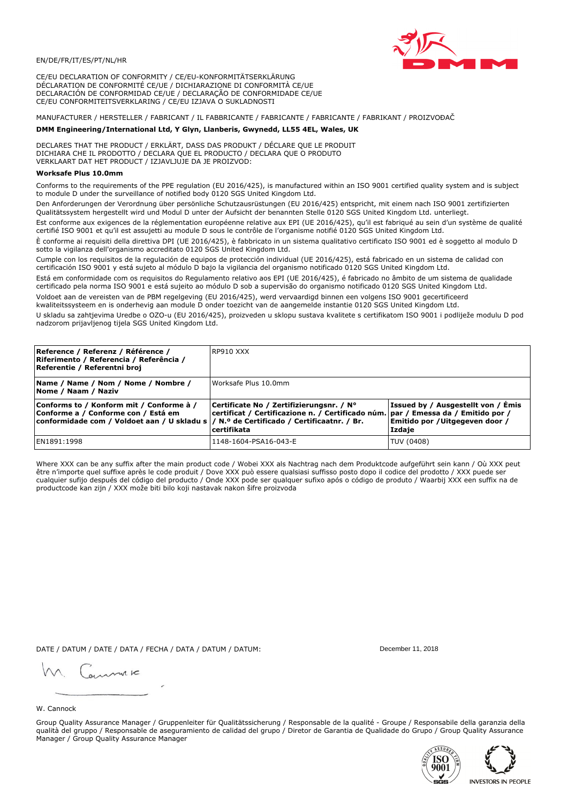

CE/EU DECLARATION OF CONFORMITY / CE/EU-KONFORMITÄTSERKLÄRUNG DÉCLARATION DE CONFORMITÉ CE/UE / DICHIARAZIONE DI CONFORMITÀ CE/UE DECLARACIÓN DE CONFORMIDAD CE/UE / DECLARAÇÃO DE CONFORMIDADE CE/UE CE/EU CONFORMITEITSVERKLARING / CE/EU IZJAVA O SUKLADNOSTI

# MANUFACTURER / HERSTELLER / FABRICANT / IL FABBRICANTE / FABRICANTE / FABRICANTE / FABRIKANT / PROIZVOĐAČ

### DMM Engineering/International Ltd, Y Glyn, Llanberis, Gwynedd, LL55 4EL, Wales, UK

DECLARES THAT THE PRODUCT / ERKLÄRT, DASS DAS PRODUKT / DÉCLARE QUE LE PRODUIT<br>DICHIARA CHE IL PRODOTTO / DECLARA QUE EL PRODUCTO / DECLARA QUE O PRODUTO VERKLAART DAT HET PRODUCT / IZJAVLJUJE DA JE PROIZVOD:

### **Worksafe Plus 10.0mm**

Conforms to the requirements of the PPE regulation (EU 2016/425), is manufactured within an ISO 9001 certified quality system and is subject to module D under the surveillance of notified body 0120 SGS United Kingdom Ltd.

Den Anforderungen der Verordnung über persönliche Schutzausrüstungen (EU 2016/425) entspricht, mit einem nach ISO 9001 zertifizierten Qualitätssystem hergestellt wird und Modul D unter der Aufsicht der benannten Stelle 0120 SGS United Kingdom Ltd. unterliegt.

Est conforme aux exigences de la réglementation européenne relative aux EPI (UE 2016/425), qu'il est fabriqué au sein d'un système de qualité certifié ISO 9001 et qu'il est assujetti au module D sous le contrôle de l'organisme notifié 0120 SGS United Kingdom Ltd.

È conforme ai requisiti della direttiva DPI (UE 2016/425), è fabbricato in un sistema qualitativo certificato ISO 9001 ed è soggetto al modulo D sotto la vigilanza dell'organismo accreditato 0120 SGS United Kingdom Ltd.

Cumple con los requisitos de la regulación de equipos de protección individual (UE 2016/425), está fabricado en un sistema de calidad con certificación ISO 9001 y está sujeto al módulo D bajo la vigilancia del organismo notificado 0120 SGS United Kingdom Ltd.

Está em conformidade com os requisitos do Regulamento relativo aos EPI (UE 2016/425), é fabricado no âmbito de um sistema de qualidade certificado pela norma ISO 9001 e está sujeito ao módulo D sob a supervisão do organismo notificado 0120 SGS United Kingdom Ltd. Voldoet aan de vereisten van de PBM regelgeving (EU 2016/425), werd vervaardigd binnen een volgens ISO 9001 gecertificeerd

kwaliteitssysteem en is onderhevig aan module D onder toezicht van de aangemelde instantie 0120 SGS United Kingdom Ltd.

U skladu sa zahtjevima Uredbe o OZO-u (EU 2016/425), proizveden u sklopu sustava kvalitete s certifikatom ISO 9001 i podliježe modulu D pod nadzorom prijavljenog tijela SGS United Kingdom Ltd.

| Reference / Referenz / Référence /<br>Riferimento / Referencia / Referência /<br>Referentie / Referentni broj                                                               | RP910 XXX                                                                                                                                    |                                                                                 |
|-----------------------------------------------------------------------------------------------------------------------------------------------------------------------------|----------------------------------------------------------------------------------------------------------------------------------------------|---------------------------------------------------------------------------------|
| Name / Name / Nom / Nome / Nombre /<br>Nome / Naam / Naziv                                                                                                                  | Worksafe Plus 10.0mm                                                                                                                         |                                                                                 |
| Conforms to / Konform mit / Conforme à /<br>Conforme a / Conforme con / Está em<br>conformidade com / Voldoet aan / U skladu s  / N.º de Certificado / Certificaatnr. / Br. | Certificate No / Zertifizierungsnr. / N°<br>certificat / Certificazione n. / Certificado núm. par / Emessa da / Emitido por /<br>certifikata | Issued by / Ausgestellt von / Émis<br>Emitido por / Uitgegeven door /<br>Izdaje |
| EN1891:1998                                                                                                                                                                 | 1148-1604-PSA16-043-E                                                                                                                        | TUV (0408)                                                                      |

Where XXX can be any suffix after the main product code / Wobei XXX als Nachtrag nach dem Produktcode aufgeführt sein kann / Où XXX peut etre n'importe quel suffixe après le code produit / Dove XXX può essere qualsiasi suffisso posto dopo il codice del prodotto / XXX puede ser<br>cualquier sufijo después del código del producto / Onde XXX pode ser qualquer suf productcode kan zijn / XXX može biti bilo koji nastavak nakon šifre proizvoda

DATE / DATUM / DATE / DATA / FECHA / DATA / DATUM / DATUM:

gimmic

December 11, 2018



Group Quality Assurance Manager / Gruppenleiter für Qualitätssicherung / Responsable de la qualité - Groupe / Responsabile della garanzia della qualità del gruppo / Responsable de aseguramiento de calidad del grupo / Diretor de Garantia de Qualidade do Grupo / Group Quality Assurance Manager / Group Quality Assurance Manager



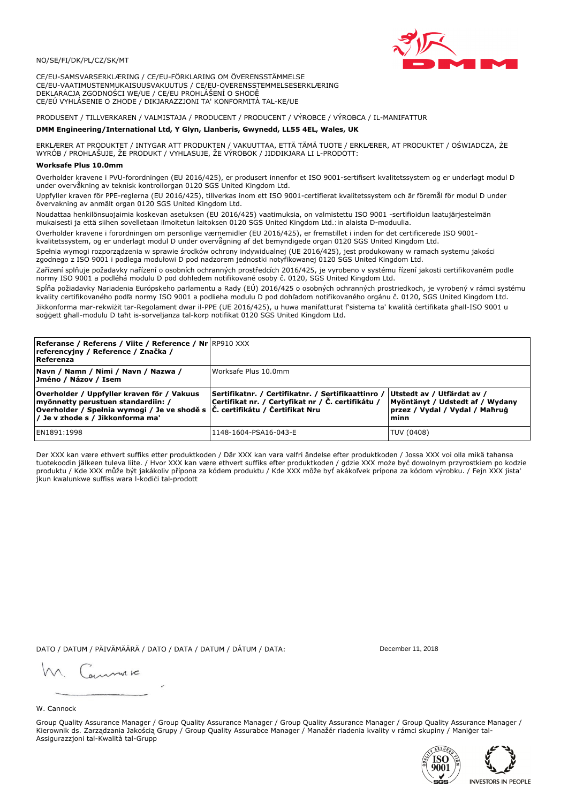

CE/EU-SAMSVARSERKLÆRING / CE/EU-FÖRKLARING OM ÖVERENSSTÄMMELSE CE/EU-VAATIMUSTENMUKAISUUSVAKUUTUS / CE/EU-OVERENSSTEMMELSESERKLÆRING DEKLARACJA ZGODNOŚCI WE/UE / CE/EU PROHLÁŠENÍ O SHODĚ CE/EÚ VYHLÁSENIE O ZHODE / DIKJARAZZJONI TA' KONFORMITÀ TAL-KE/UE

PRODUSENT / TILLVERKAREN / VALMISTAJA / PRODUCENT / PRODUCENT / VÝROBCE / VÝROBCA / IL-MANIFATTUR

### DMM Engineering/International Ltd, Y Glyn, Llanberis, Gwynedd, LL55 4EL, Wales, UK

ERKLÆRER AT PRODUKTET / INTYGAR ATT PRODUKTEN / VAKUUTTAA, ETTÄ TÄMÄ TUOTE / ERKLÆRER, AT PRODUKTET / OŚWIADCZA, ŻE<br>WYRÓB / PROHLAŠUJE, ŽE PRODUKT / VYHLASUJE, ŽE VÝROBOK / JIDDIKJARA LI L-PRODOTT:

Overholder kravene i PVU-forordningen (EU 2016/425), er produsert innenfor et ISO 9001-sertifisert kvalitetssystem og er underlagt modul D<br>under overvåkning av teknisk kontrollorgan 0120 SGS United Kingdom Ltd.

Uppfyller kraven för PPE-reglerna (EU 2016/425), tillverkas inom ett ISO 9001-certifierat kvalitetssystem och är föremål för modul D under övervakning av anmält organ 0120 SGS United Kingdom Ltd.

Noudattaa henkilönsuojaimia koskevan asetuksen (EU 2016/425) vaatimuksia, on valmistettu ISO 9001 -sertifioidun laatujärjestelmän mukaisesti ja että siihen sovelletaan ilmoitetun laitoksen 0120 SGS United Kingdom Ltd.:in alaista D-moduulia.

Overholder kravene i forordningen om personlige værnemidler (EU 2016/425), er fremstillet i inden for det certificerede ISO 9001kvalitetssystem, og er underlagt modul D under overvågning af det bemyndigede organ 0120 SGS United Kingdom Ltd.

Spełnia wymogi rozporządzenia w sprawie środków ochrony indywidualnej (UE 2016/425), jest produkowany w ramach systemu jakości zgodnego z ISO 9001 i podlega modułowi D pod nadzorem jednostki notyfikowanej 0120 SGS United Kingdom Ltd.

Zařízení splňuje požadavky nařízení o osobních ochranných prostředcích 2016/425, je vyrobeno v systému řízení jakosti certifikovaném podle normy ISO 9001 a podléhá modulu D pod dohledem notifikované osoby č. 0120, SGS United Kingdom Ltd.

Spĺňa požiadavky Nariadenia Európskeho parlamentu a Rady (EÚ) 2016/425 o osobných ochranných prostriedkoch, je vyrobený v rámci systému kvality certifikovaného podľa normy ISO 9001 a podlieha modulu D pod dohľadom notifikovaného orgánu č. 0120, SGS Únited Kingdom Ltd. Jikkonforma mar-rekwiżit tar-Regolament dwar il-PPE (UE 2016/425), u huwa manifatturat f'sistema ta' kwalità certifikata għall-ISO 9001 u soggett ghall-modulu D taht is-sorveljanza tal-korp notifikat 0120 SGS United Kingdom Ltd.

| <b>Referanse / Referens / Viite / Reference / Nr RP910 XXX</b><br>referencyjny / Reference / Značka /<br>Referenza                                                  |                                                                                                                                            |                                                                                                         |
|---------------------------------------------------------------------------------------------------------------------------------------------------------------------|--------------------------------------------------------------------------------------------------------------------------------------------|---------------------------------------------------------------------------------------------------------|
| Navn / Namn / Nimi / Navn / Nazwa /<br> Jméno / Názov / Isem                                                                                                        | Worksafe Plus 10.0mm                                                                                                                       |                                                                                                         |
| Overholder / Uppfyller kraven för / Vakuus<br>myönnetty perustuen standardiin: /<br>Overholder / Spełnia wymogi / Je ve shodě s<br>/ Je v zhode s / Jikkonforma ma' | Sertifikatnr. / Certifikatnr. / Sertifikaattinro /<br>Certifikat nr. / Certyfikat nr / Č. certifikátu /<br>C. certifikátu / Certifikat Nru | Utstedt av / Utfärdat av /<br>Myöntänyt / Udstedt af / Wydany<br>przez / Vydal / Vydal / Mahrug<br>minn |
| EN1891:1998                                                                                                                                                         | 1148-1604-PSA16-043-E                                                                                                                      | TUV (0408)                                                                                              |

Der XXX kan være ethvert suffiks etter produktkoden / Där XXX kan vara valfri ändelse efter produktkoden / Jossa XXX voi olla mikä tahansa tuotekoodin jälkeen tuleva liite. / Hvor XXX kan være ethvert suffiks efter produktkoden / gdzie XXX może być dowolnym przyrostkiem po kodzie produktu / Kde XXX může být jakákoliv přípona za kódem produktu / Kde XXX môže byť akákoľvek prípona za kódom výrobku. / Fejn XXX jista jkun kwalunkwe suffiss wara l-kodici tal-prodott

DATO / DATUM / PÄIVÄMÄÄRÄ / DATO / DATA / DATUM / DÁTUM / DATA:

December 11, 2018

annuic

W. Cannock

Group Quality Assurance Manager / Group Quality Assurance Manager / Group Quality Assurance Manager / Group Quality Assurance Manager / Kierownik ds. Zarządzania Jakością Grupy / Group Quality Assurabce Manager / Manažér riadenia kvality v rámci skupiny / Maniger tal-Assigurazzjoni tal-Kwalità tal-Grupp